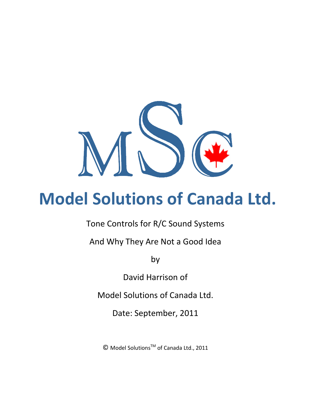

# **Model Solutions of Canada Ltd.**

Tone Controls for R/C Sound Systems

And Why They Are Not a Good Idea

by

David Harrison of

Model Solutions of Canada Ltd.

Date: September, 2011

© Model SolutionsTM of Canada Ltd., 2011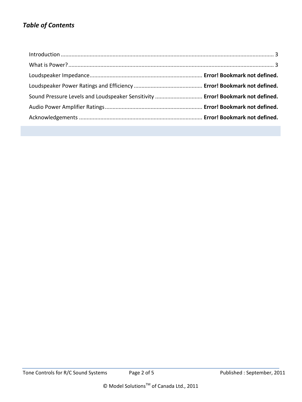## *Table of Contents*

| Sound Pressure Levels and Loudspeaker Sensitivity  Error! Bookmark not defined. |  |
|---------------------------------------------------------------------------------|--|
|                                                                                 |  |
|                                                                                 |  |
|                                                                                 |  |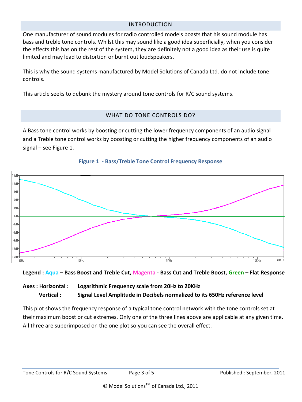#### INTRODUCTION

<span id="page-2-0"></span>One manufacturer of sound modules for radio controlled models boasts that his sound module has bass and treble tone controls. Whilst this may sound like a good idea superficially, when you consider the effects this has on the rest of the system, they are definitely not a good idea as their use is quite limited and may lead to distortion or burnt out loudspeakers.

This is why the sound systems manufactured by Model Solutions of Canada Ltd. do not include tone controls.

<span id="page-2-1"></span>This article seeks to debunk the mystery around tone controls for R/C sound systems.

## WHAT DO TONE CONTROLS DO?

A Bass tone control works by boosting or cutting the lower frequency components of an audio signal and a Treble tone control works by boosting or cutting the higher frequency components of an audio signal – see Figure 1.





**Legend : Aqua – Bass Boost and Treble Cut, Magenta - Bass Cut and Treble Boost, Green – Flat Response**

## **Axes : Horizontal : Logarithmic Frequency scale from 20Hz to 20KHz Vertical : Signal Level Amplitude in Decibels normalized to its 650Hz reference level**

This plot shows the frequency response of a typical tone control network with the tone controls set at their maximum boost or cut extremes. Only one of the three lines above are applicable at any given time. All three are superimposed on the one plot so you can see the overall effect.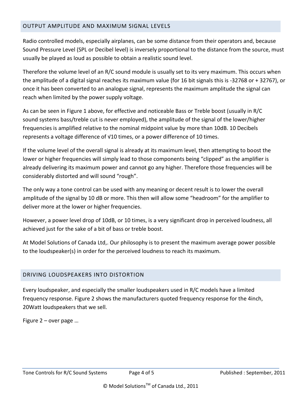## OUTPUT AMPLITUDE AND MAXIMUM SIGNAL LEVELS

Radio controlled models, especially airplanes, can be some distance from their operators and, because Sound Pressure Level (SPL or Decibel level) is inversely proportional to the distance from the source, must usually be played as loud as possible to obtain a realistic sound level.

Therefore the volume level of an R/C sound module is usually set to its very maximum. This occurs when the amplitude of a digital signal reaches its maximum value (for 16 bit signals this is -32768 or + 32767), or once it has been converted to an analogue signal, represents the maximum amplitude the signal can reach when limited by the power supply voltage.

As can be seen in Figure 1 above, for effective and noticeable Bass or Treble boost (usually in R/C sound systems bass/treble cut is never employed), the amplitude of the signal of the lower/higher frequencies is amplified relative to the nominal midpoint value by more than 10dB. 10 Decibels represents a voltage difference of √10 times, or a power difference of 10 times.

If the volume level of the overall signal is already at its maximum level, then attempting to boost the lower or higher frequencies will simply lead to those components being "clipped" as the amplifier is already delivering its maximum power and cannot go any higher. Therefore those frequencies will be considerably distorted and will sound "rough".

The only way a tone control can be used with any meaning or decent result is to lower the overall amplitude of the signal by 10 dB or more. This then will allow some "headroom" for the amplifier to deliver more at the lower or higher frequencies.

However, a power level drop of 10dB, or 10 times, is a very significant drop in perceived loudness, all achieved just for the sake of a bit of bass or treble boost.

At Model Solutions of Canada Ltd,. Our philosophy is to present the maximum average power possible to the loudspeaker(s) in order for the perceived loudness to reach its maximum.

## DRIVING LOUDSPEAKERS INTO DISTORTION

Every loudspeaker, and especially the smaller loudspeakers used in R/C models have a limited frequency response. Figure 2 shows the manufacturers quoted frequency response for the 4inch, 20Watt loudspeakers that we sell.

Figure 2 – over page …